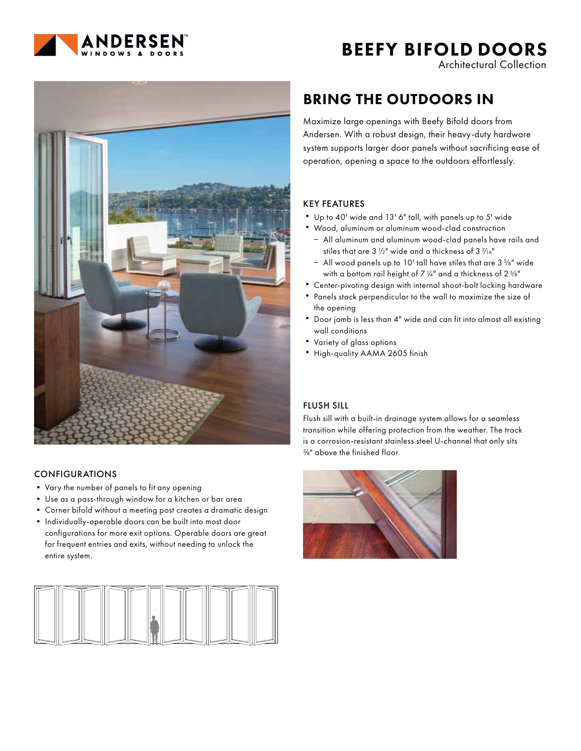

# BEEFY BIFOLD DOORS

Architectural Collection



## BRING THE OUTDOORS IN

Maximize large openings with Beefy Bifold doors from Andersen. With a robust design, their heavy-duty hardware system supports larger door panels without sacrificing ease of operation, opening a space to the outdoors effortlessly.

#### KEY FEATURES

- Up to 40' wide and 13' 6" tall, with panels up to 5' wide
- Wood, aluminum or aluminum wood-clad construction
- All aluminum and aluminum wood-clad panels have rails and stiles that are 3  $1/2$ " wide and a thickness of 3  $3/16$ "
- $-$  All wood panels up to 10' tall have stiles that are  $3\frac{5}{8}$ " wide with a bottom rail height of 7  $\frac{1}{4}$ " and a thickness of 2  $\frac{5}{8}$ "
- Center-pivoting design with internal shoot-bolt locking hardware
- Panels stack perpendicular to the wall to maximize the size of the opening
- Door jamb is less than 4" wide and can fit into almost all existing wall conditions
- Variety of glass options
- High-quality AAMA 2605 finish

#### FLUSH SILL

Flush sill with a built-in drainage system allows for a seamless transition while offering protection from the weather. The track is a corrosion-resistant stainless steel U-channel that only sits 3 /8" above the finished floor.



#### CONFIGURATIONS

- Vary the number of panels to fit any opening
- Use as a pass-through window for a kitchen or bar area
- Corner bifold without a meeting post creates a dramatic design
- Individually-operable doors can be built into most door configurations for more exit options. Operable doors are great for frequent entries and exits, without needing to unlock the entire system.